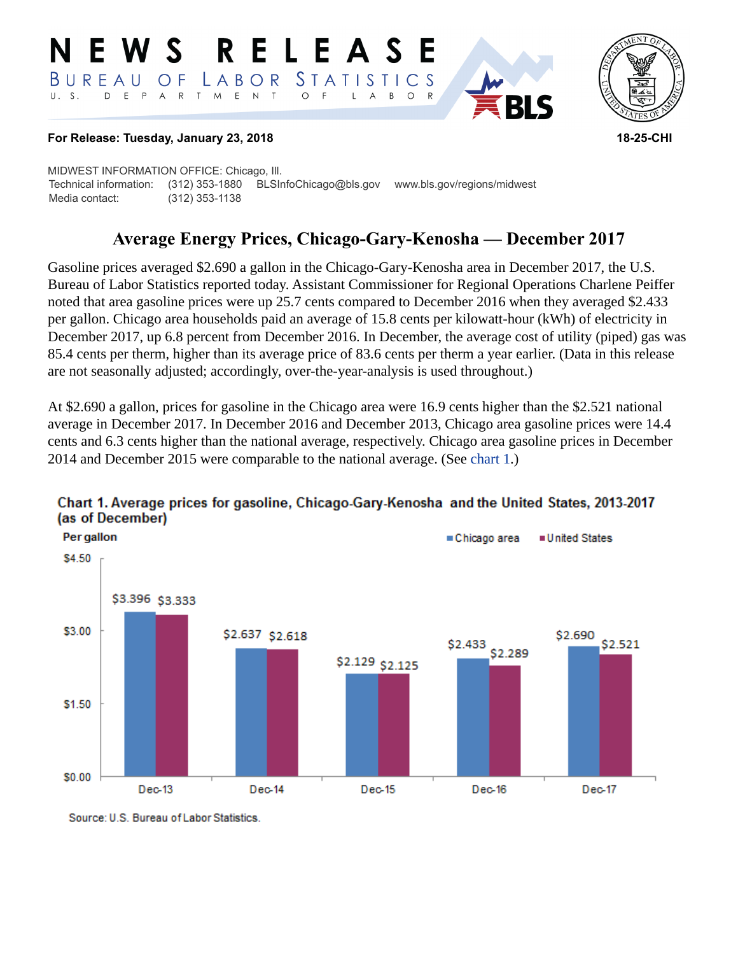#### RELEASE E W S *STATISTICS* LABOR  $B$  U R E A U  $\overline{O}$  F D E P A R T M E N T  $\circ$  $U. S.$  $\overline{F}$  $\mathsf{L}$  $\overline{A}$  $B$  $\circ$



#### **For Release: Tuesday, January 23, 2018 18-25-CHI**

MIDWEST INFORMATION OFFICE: Chicago, Ill. Technical information: (312) 353-1880 BLSInfoChicago@bls.gov www.bls.gov/regions/midwest Media contact: (312) 353-1138

# **Average Energy Prices, Chicago-Gary-Kenosha — December 2017**

Gasoline prices averaged \$2.690 a gallon in the Chicago-Gary-Kenosha area in December 2017, the U.S. Bureau of Labor Statistics reported today. Assistant Commissioner for Regional Operations Charlene Peiffer noted that area gasoline prices were up 25.7 cents compared to December 2016 when they averaged \$2.433 per gallon. Chicago area households paid an average of 15.8 cents per kilowatt-hour (kWh) of electricity in December 2017, up 6.8 percent from December 2016. In December, the average cost of utility (piped) gas was 85.4 cents per therm, higher than its average price of 83.6 cents per therm a year earlier. (Data in this release are not seasonally adjusted; accordingly, over-the-year-analysis is used throughout.)

At \$2.690 a gallon, prices for gasoline in the Chicago area were 16.9 cents higher than the \$2.521 national average in December 2017. In December 2016 and December 2013, Chicago area gasoline prices were 14.4 cents and 6.3 cents higher than the national average, respectively. Chicago area gasoline prices in December 2014 and December 2015 were comparable to the national average. (See [chart 1.](#page-0-0))



#### <span id="page-0-0"></span>Chart 1. Average prices for gasoline, Chicago-Gary-Kenosha and the United States, 2013-2017 (as of December)

Source: U.S. Bureau of Labor Statistics.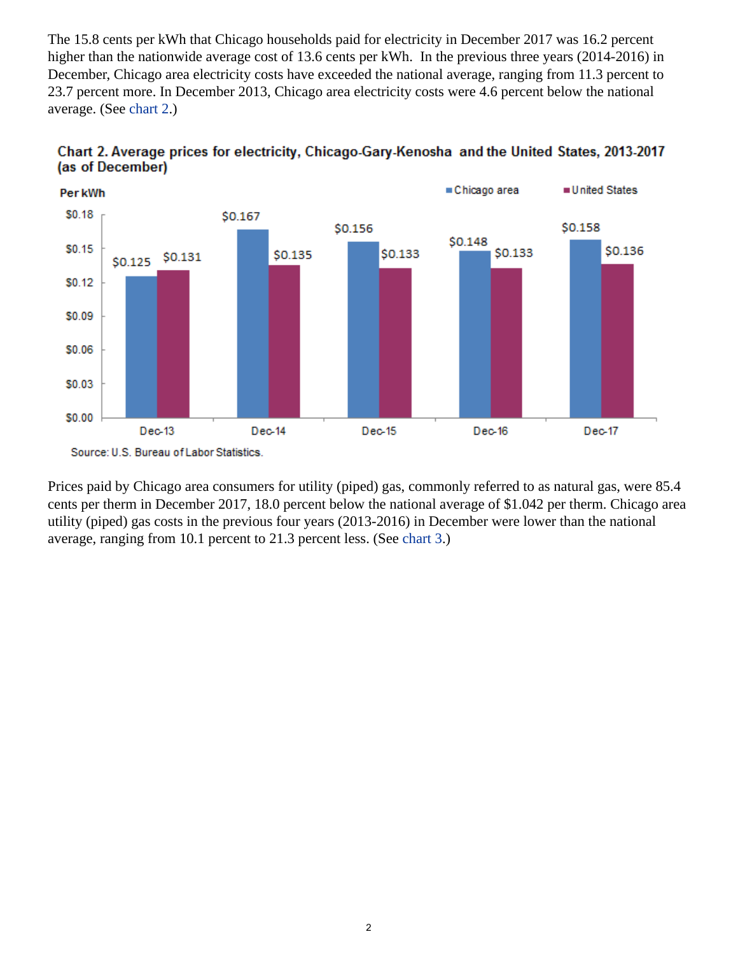The 15.8 cents per kWh that Chicago households paid for electricity in December 2017 was 16.2 percent higher than the nationwide average cost of 13.6 cents per kWh. In the previous three years (2014-2016) in December, Chicago area electricity costs have exceeded the national average, ranging from 11.3 percent to 23.7 percent more. In December 2013, Chicago area electricity costs were 4.6 percent below the national average. (See [chart 2](#page-1-0).)



<span id="page-1-0"></span>

Prices paid by Chicago area consumers for utility (piped) gas, commonly referred to as natural gas, were 85.4 cents per therm in December 2017, 18.0 percent below the national average of \$1.042 per therm. Chicago area utility (piped) gas costs in the previous four years (2013-2016) in December were lower than the national average, ranging from 10.1 percent to 21.3 percent less. (See [chart 3.](#page-2-0))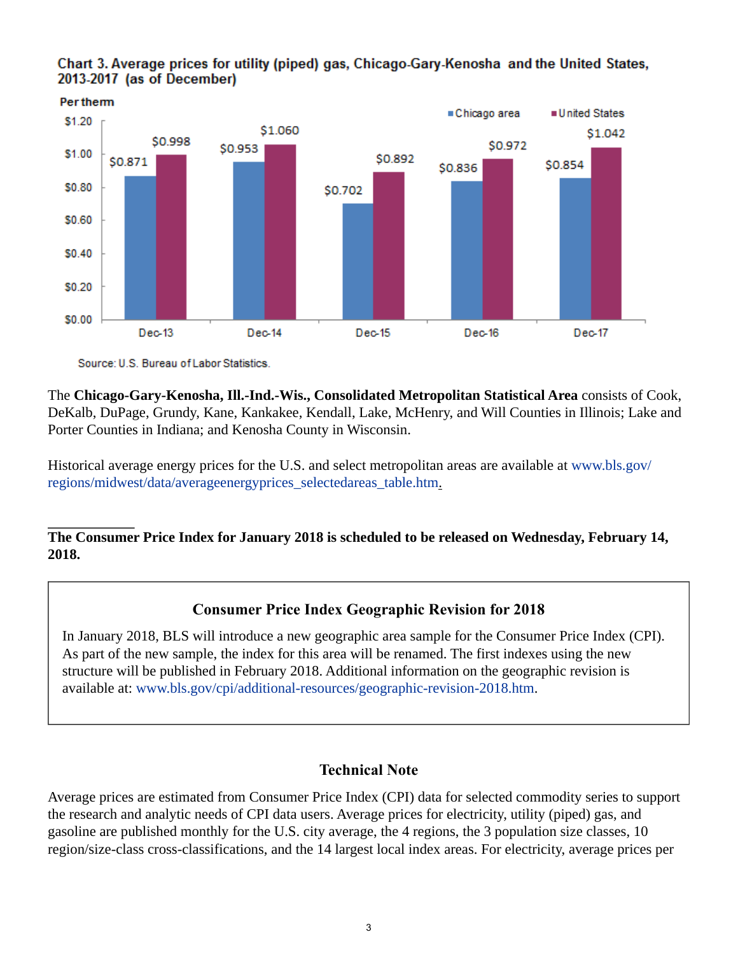<span id="page-2-0"></span>



Source: U.S. Bureau of Labor Statistics.

The **Chicago-Gary-Kenosha, Ill.-Ind.-Wis., Consolidated Metropolitan Statistical Area** consists of Cook, DeKalb, DuPage, Grundy, Kane, Kankakee, Kendall, Lake, McHenry, and Will Counties in Illinois; Lake and Porter Counties in Indiana; and Kenosha County in Wisconsin.

Historical average energy prices for the U.S. and select metropolitan areas are available at [www.bls.gov/](https://www.bls.gov/regions/midwest/data/averageenergyprices_selectedareas_table.htm) [regions/midwest/data/averageenergyprices\\_selectedareas\\_table.htm.](https://www.bls.gov/regions/midwest/data/averageenergyprices_selectedareas_table.htm)

## **The Consumer Price Index for January 2018 is scheduled to be released on Wednesday, February 14, 2018.**

## **Consumer Price Index Geographic Revision for 2018**

In January 2018, BLS will introduce a new geographic area sample for the Consumer Price Index (CPI). As part of the new sample, the index for this area will be renamed. The first indexes using the new structure will be published in February 2018. Additional information on the geographic revision is available at: [www.bls.gov/cpi/additional-resources/geographic-revision-2018.htm](https://www.bls.gov/cpi/additional-resources/geographic-revision-2018.htm).

## **Technical Note**

Average prices are estimated from Consumer Price Index (CPI) data for selected commodity series to support the research and analytic needs of CPI data users. Average prices for electricity, utility (piped) gas, and gasoline are published monthly for the U.S. city average, the 4 regions, the 3 population size classes, 10 region/size-class cross-classifications, and the 14 largest local index areas. For electricity, average prices per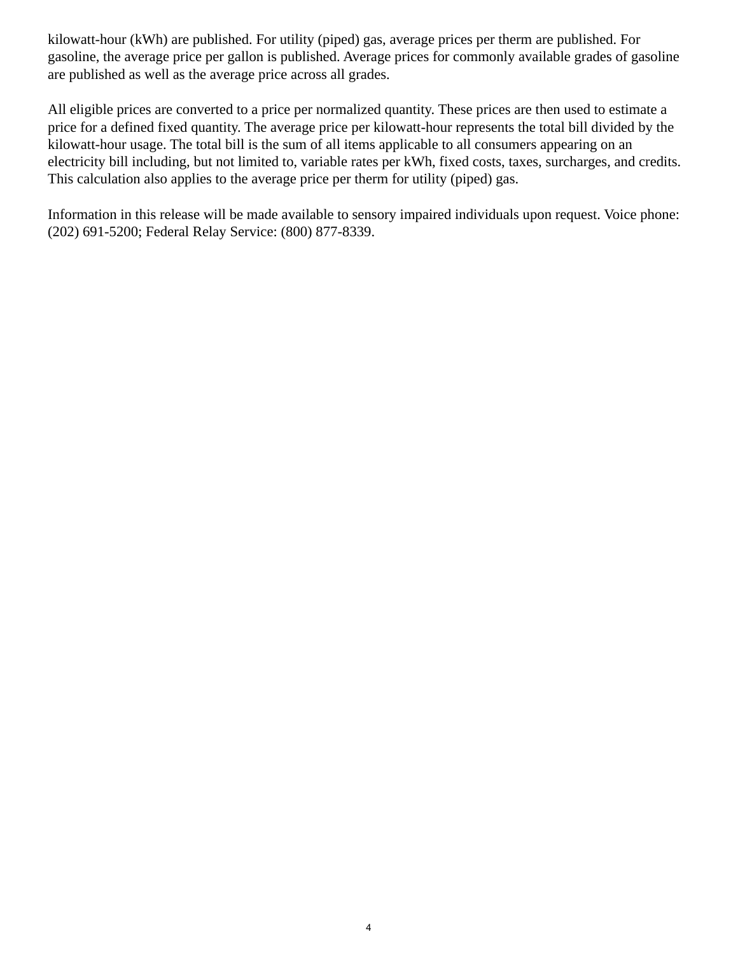kilowatt-hour (kWh) are published. For utility (piped) gas, average prices per therm are published. For gasoline, the average price per gallon is published. Average prices for commonly available grades of gasoline are published as well as the average price across all grades.

All eligible prices are converted to a price per normalized quantity. These prices are then used to estimate a price for a defined fixed quantity. The average price per kilowatt-hour represents the total bill divided by the kilowatt-hour usage. The total bill is the sum of all items applicable to all consumers appearing on an electricity bill including, but not limited to, variable rates per kWh, fixed costs, taxes, surcharges, and credits. This calculation also applies to the average price per therm for utility (piped) gas.

Information in this release will be made available to sensory impaired individuals upon request. Voice phone: (202) 691-5200; Federal Relay Service: (800) 877-8339.